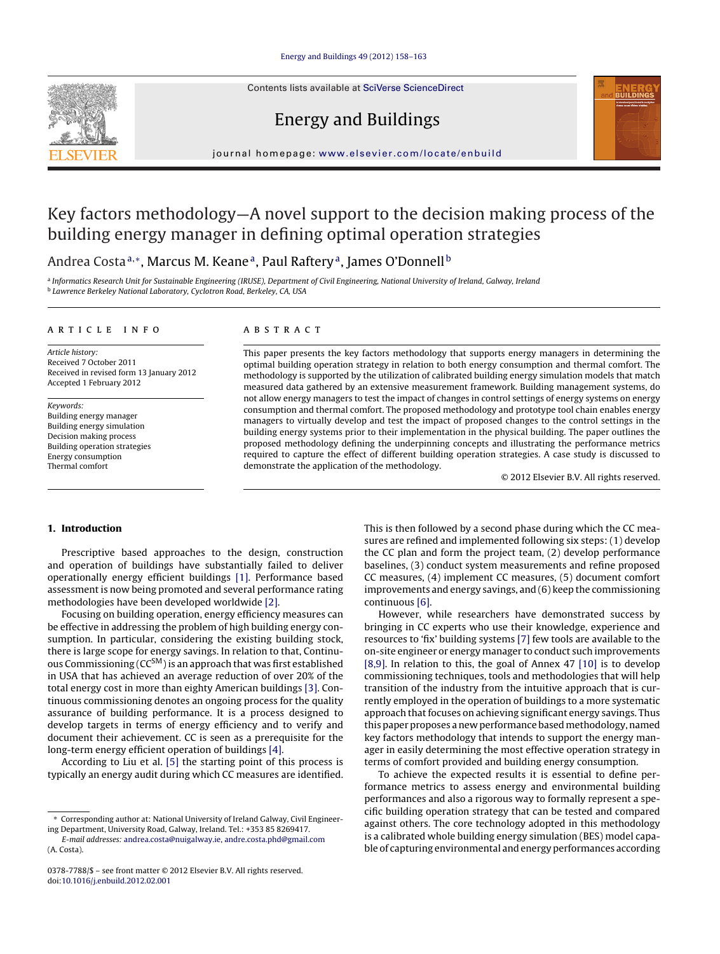Contents lists available at SciVerse [ScienceDirect](http://www.sciencedirect.com/science/journal/03787788)







iournal homepage: [www.elsevier.com/locate/enbuild](http://www.elsevier.com/locate/enbuild)

## Key factors methodology—A novel support to the decision making process of the building energy manager in defining optimal operation strategies

### Andrea Costa<sup>a,</sup>\*, Marcus M. Keane<sup>a</sup>, Paul Raftery<sup>a</sup>, James O'Donnell<sup>b</sup>

a Informatics Research Unit for Sustainable Engineering (IRUSE), Department of Civil Engineering, National University of Ireland, Galway, Ireland <sup>b</sup> Lawrence Berkeley National Laboratory, Cyclotron Road, Berkeley, CA, USA

#### ARTICLE INFO

Article history: Received 7 October 2011 Received in revised form 13 January 2012 Accepted 1 February 2012

Keywords: Building energy manager Building energy simulation Decision making process Building operation strategies Energy consumption Thermal comfort

#### A B S T R A C T

This paper presents the key factors methodology that supports energy managers in determining the optimal building operation strategy in relation to both energy consumption and thermal comfort. The methodology is supported by the utilization of calibrated building energy simulation models that match measured data gathered by an extensive measurement framework. Building management systems, do not allow energy managers to test the impact of changes in control settings of energy systems on energy consumption and thermal comfort. The proposed methodology and prototype tool chain enables energy managers to virtually develop and test the impact of proposed changes to the control settings in the building energy systems prior to their implementation in the physical building. The paper outlines the proposed methodology defining the underpinning concepts and illustrating the performance metrics required to capture the effect of different building operation strategies. A case study is discussed to demonstrate the application of the methodology.

© 2012 Elsevier B.V. All rights reserved.

#### **1. Introduction**

Prescriptive based approaches to the design, construction and operation of buildings have substantially failed to deliver operationally energy efficient buildings [\[1\].](#page--1-0) Performance based assessment is now being promoted and several performance rating methodologies have been developed worldwide [\[2\].](#page--1-0)

Focusing on building operation, energy efficiency measures can be effective in addressing the problem of high building energy consumption. In particular, considering the existing building stock, there is large scope for energy savings. In relation to that, Continuous Commissioning (CC<sup>SM</sup>) is an approach that was first established in USA that has achieved an average reduction of over 20% of the total energy cost in more than eighty American buildings [\[3\].](#page--1-0) Continuous commissioning denotes an ongoing process for the quality assurance of building performance. It is a process designed to develop targets in terms of energy efficiency and to verify and document their achievement. CC is seen as a prerequisite for the long-term energy efficient operation of buildings [\[4\].](#page--1-0)

According to Liu et al. [\[5\]](#page--1-0) the starting point of this process is typically an energy audit during which CC measures are identified. This is then followed by a second phase during which the CC measures are refined and implemented following six steps: (1) develop the CC plan and form the project team, (2) develop performance baselines, (3) conduct system measurements and refine proposed CC measures, (4) implement CC measures, (5) document comfort improvements and energy savings, and (6) keep the commissioning continuous [\[6\].](#page--1-0)

However, while researchers have demonstrated success by bringing in CC experts who use their knowledge, experience and resources to 'fix' building systems [\[7\]](#page--1-0) few tools are available to the on-site engineer or energy manager to conduct such improvements [\[8,9\].](#page--1-0) In relation to this, the goal of Annex 47 [\[10\]](#page--1-0) is to develop commissioning techniques, tools and methodologies that will help transition of the industry from the intuitive approach that is currently employed in the operation of buildings to a more systematic approach that focuses on achieving significant energy savings. Thus this paper proposes a new performance based methodology, named key factors methodology that intends to support the energy manager in easily determining the most effective operation strategy in terms of comfort provided and building energy consumption.

To achieve the expected results it is essential to define performance metrics to assess energy and environmental building performances and also a rigorous way to formally represent a specific building operation strategy that can be tested and compared against others. The core technology adopted in this methodology is a calibrated whole building energy simulation (BES) model capable of capturing environmental and energy performances according

<sup>∗</sup> Corresponding author at: National University of Ireland Galway, Civil Engineering Department, University Road, Galway, Ireland. Tel.: +353 85 8269417.

E-mail addresses: [andrea.costa@nuigalway.ie](mailto:andrea.costa@nuigalway.ie), [andre.costa.phd@gmail.com](mailto:andre.costa.phd@gmail.com) (A. Costa).

<sup>0378-7788/\$</sup> – see front matter © 2012 Elsevier B.V. All rights reserved. doi:[10.1016/j.enbuild.2012.02.001](dx.doi.org/10.1016/j.enbuild.2012.02.001)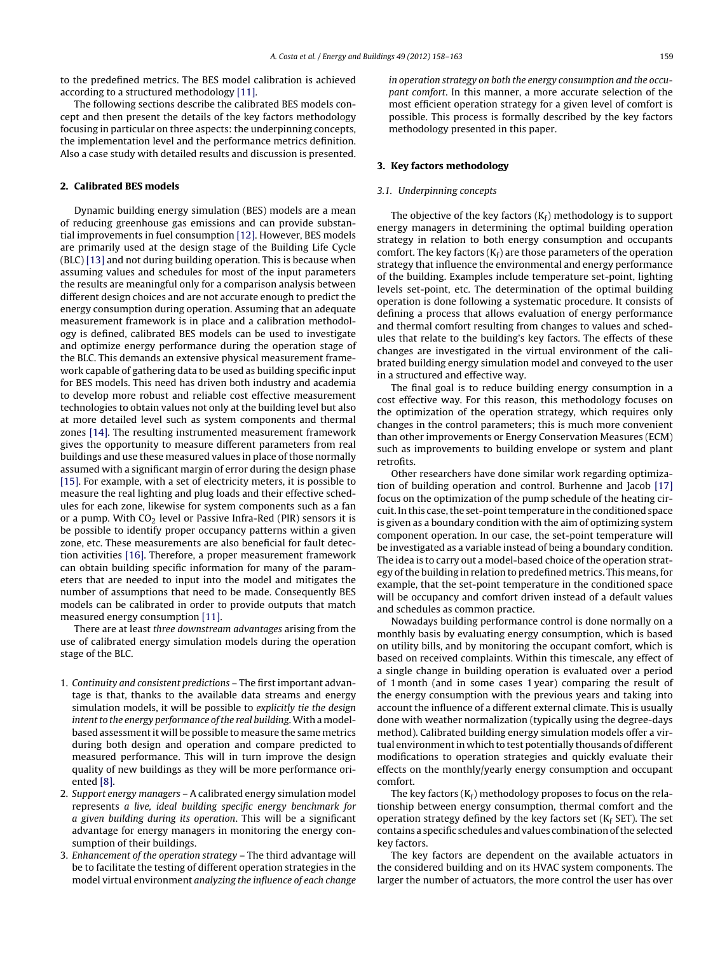to the predefined metrics. The BES model calibration is achieved according to a structured methodology [\[11\].](#page--1-0)

The following sections describe the calibrated BES models concept and then present the details of the key factors methodology focusing in particular on three aspects: the underpinning concepts, the implementation level and the performance metrics definition. Also a case study with detailed results and discussion is presented.

#### **2. Calibrated BES models**

Dynamic building energy simulation (BES) models are a mean of reducing greenhouse gas emissions and can provide substantial improvements in fuel consumption [\[12\].](#page--1-0) However, BES models are primarily used at the design stage of the Building Life Cycle (BLC) [\[13\]](#page--1-0) and not during building operation. This is because when assuming values and schedules for most of the input parameters the results are meaningful only for a comparison analysis between different design choices and are not accurate enough to predict the energy consumption during operation. Assuming that an adequate measurement framework is in place and a calibration methodology is defined, calibrated BES models can be used to investigate and optimize energy performance during the operation stage of the BLC. This demands an extensive physical measurement framework capable of gathering data to be used as building specific input for BES models. This need has driven both industry and academia to develop more robust and reliable cost effective measurement technologies to obtain values not only at the building level but also at more detailed level such as system components and thermal zones [\[14\].](#page--1-0) The resulting instrumented measurement framework gives the opportunity to measure different parameters from real buildings and use these measured values in place of those normally assumed with a significant margin of error during the design phase [\[15\].](#page--1-0) For example, with a set of electricity meters, it is possible to measure the real lighting and plug loads and their effective schedules for each zone, likewise for system components such as a fan or a pump. With  $CO<sub>2</sub>$  level or Passive Infra-Red (PIR) sensors it is be possible to identify proper occupancy patterns within a given zone, etc. These measurements are also beneficial for fault detection activities [\[16\].](#page--1-0) Therefore, a proper measurement framework can obtain building specific information for many of the parameters that are needed to input into the model and mitigates the number of assumptions that need to be made. Consequently BES models can be calibrated in order to provide outputs that match measured energy consumption [\[11\].](#page--1-0)

There are at least three downstream advantages arising from the use of calibrated energy simulation models during the operation stage of the BLC.

- 1. Continuity and consistent predictions The first important advantage is that, thanks to the available data streams and energy simulation models, it will be possible to explicitly tie the design intent to the energy performance of the real building. With a modelbased assessmentit will be possible to measure the same metrics during both design and operation and compare predicted to measured performance. This will in turn improve the design quality of new buildings as they will be more performance oriented [\[8\].](#page--1-0)
- 2. Support energy managers A calibrated energy simulation model represents a live, ideal building specific energy benchmark for a given building during its operation. This will be a significant advantage for energy managers in monitoring the energy consumption of their buildings.
- 3. Enhancement of the operation strategy The third advantage will be to facilitate the testing of different operation strategies in the model virtual environment analyzing the influence of each change

in operation strategy on both the energy consumption and the occupant comfort. In this manner, a more accurate selection of the most efficient operation strategy for a given level of comfort is possible. This process is formally described by the key factors methodology presented in this paper.

#### **3. Key factors methodology**

#### 3.1. Underpinning concepts

The objective of the key factors  $(K_f)$  methodology is to support energy managers in determining the optimal building operation strategy in relation to both energy consumption and occupants comfort. The key factors  $(K_f)$  are those parameters of the operation strategy that influence the environmental and energy performance of the building. Examples include temperature set-point, lighting levels set-point, etc. The determination of the optimal building operation is done following a systematic procedure. It consists of defining a process that allows evaluation of energy performance and thermal comfort resulting from changes to values and schedules that relate to the building's key factors. The effects of these changes are investigated in the virtual environment of the calibrated building energy simulation model and conveyed to the user in a structured and effective way.

The final goal is to reduce building energy consumption in a cost effective way. For this reason, this methodology focuses on the optimization of the operation strategy, which requires only changes in the control parameters; this is much more convenient than other improvements or Energy Conservation Measures (ECM) such as improvements to building envelope or system and plant retrofits.

Other researchers have done similar work regarding optimization of building operation and control. Burhenne and Jacob [\[17\]](#page--1-0) focus on the optimization of the pump schedule of the heating circuit. In this case, the set-point temperature in the conditioned space is given as a boundary condition with the aim of optimizing system component operation. In our case, the set-point temperature will be investigated as a variable instead of being a boundary condition. The idea is to carry out a model-based choice of the operation strategy of the building in relation to predefined metrics. This means, for example, that the set-point temperature in the conditioned space will be occupancy and comfort driven instead of a default values and schedules as common practice.

Nowadays building performance control is done normally on a monthly basis by evaluating energy consumption, which is based on utility bills, and by monitoring the occupant comfort, which is based on received complaints. Within this timescale, any effect of a single change in building operation is evaluated over a period of 1 month (and in some cases 1 year) comparing the result of the energy consumption with the previous years and taking into account the influence of a different external climate. This is usually done with weather normalization (typically using the degree-days method). Calibrated building energy simulation models offer a virtual environment in which to test potentially thousands of different modifications to operation strategies and quickly evaluate their effects on the monthly/yearly energy consumption and occupant comfort.

The key factors  $(K_f)$  methodology proposes to focus on the relationship between energy consumption, thermal comfort and the operation strategy defined by the key factors set  $(K_f SET)$ . The set contains a specific schedules andvalues combinationofthe selected key factors.

The key factors are dependent on the available actuators in the considered building and on its HVAC system components. The larger the number of actuators, the more control the user has over